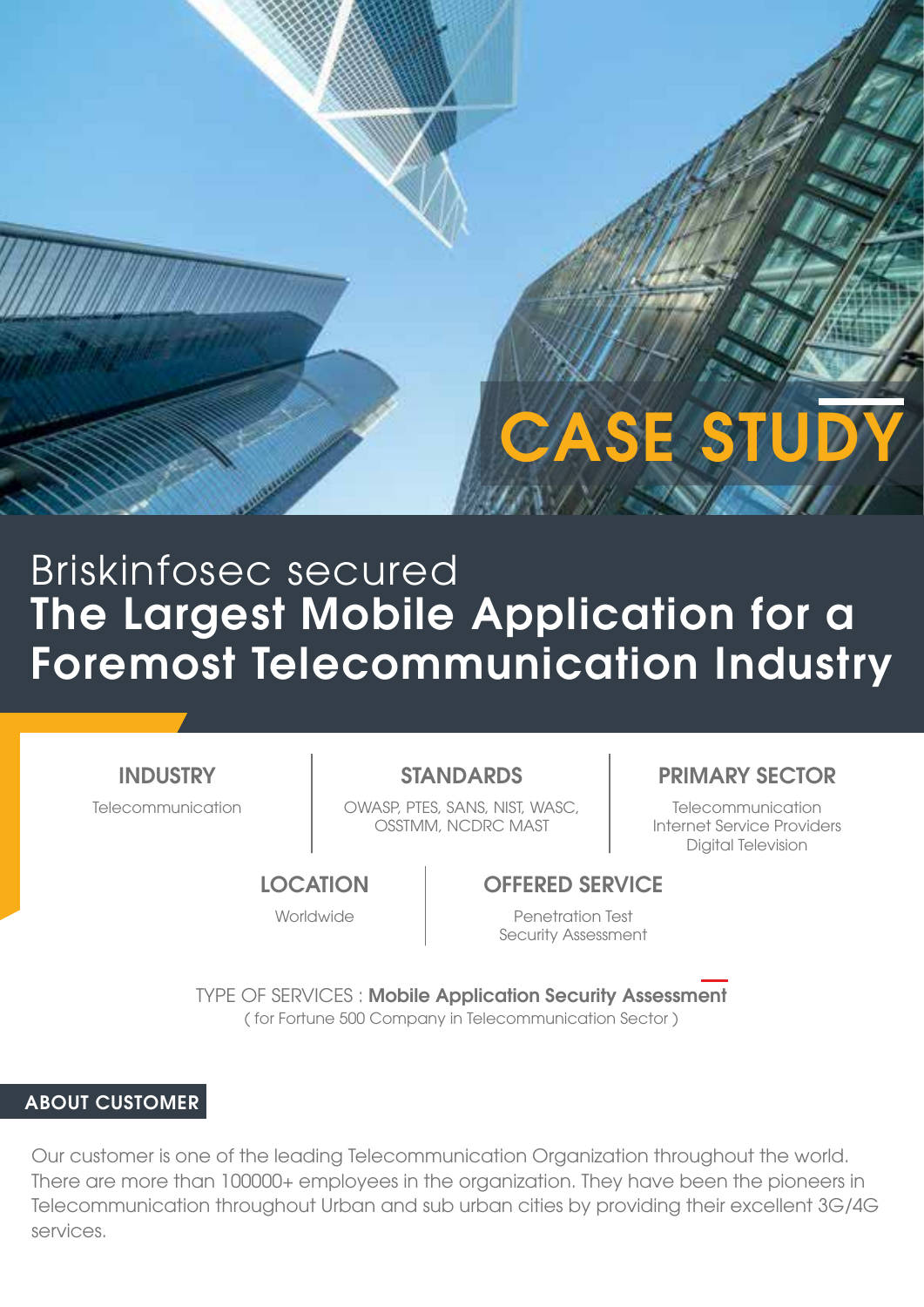# **CASE STUD**

## The Largest Mobile Application for a Foremost Telecommunication Industry Briskinfosec secured

**INDUSTRY** 

Telecommunication | OWASP, PTES, SANS, NIST, WASC, | Telecommunication OSSTMM, NCDRC MAST

### STANDARDS **PRIMARY SECTOR**

Internet Service Providers Digital Television

#### **LOCATION**

Worldwide

#### OFFERED SERVICE

Penetration Test Security Assessment

TYPE OF SERVICES : Mobile Application Security Assessment ( for Fortune 500 Company in Telecommunication Sector )

#### ABOUT CUSTOMER

Our customer is one of the leading Telecommunication Organization throughout the world. There are more than 100000+ employees in the organization. They have been the pioneers in Telecommunication throughout Urban and sub urban cities by providing their excellent 3G/4G services.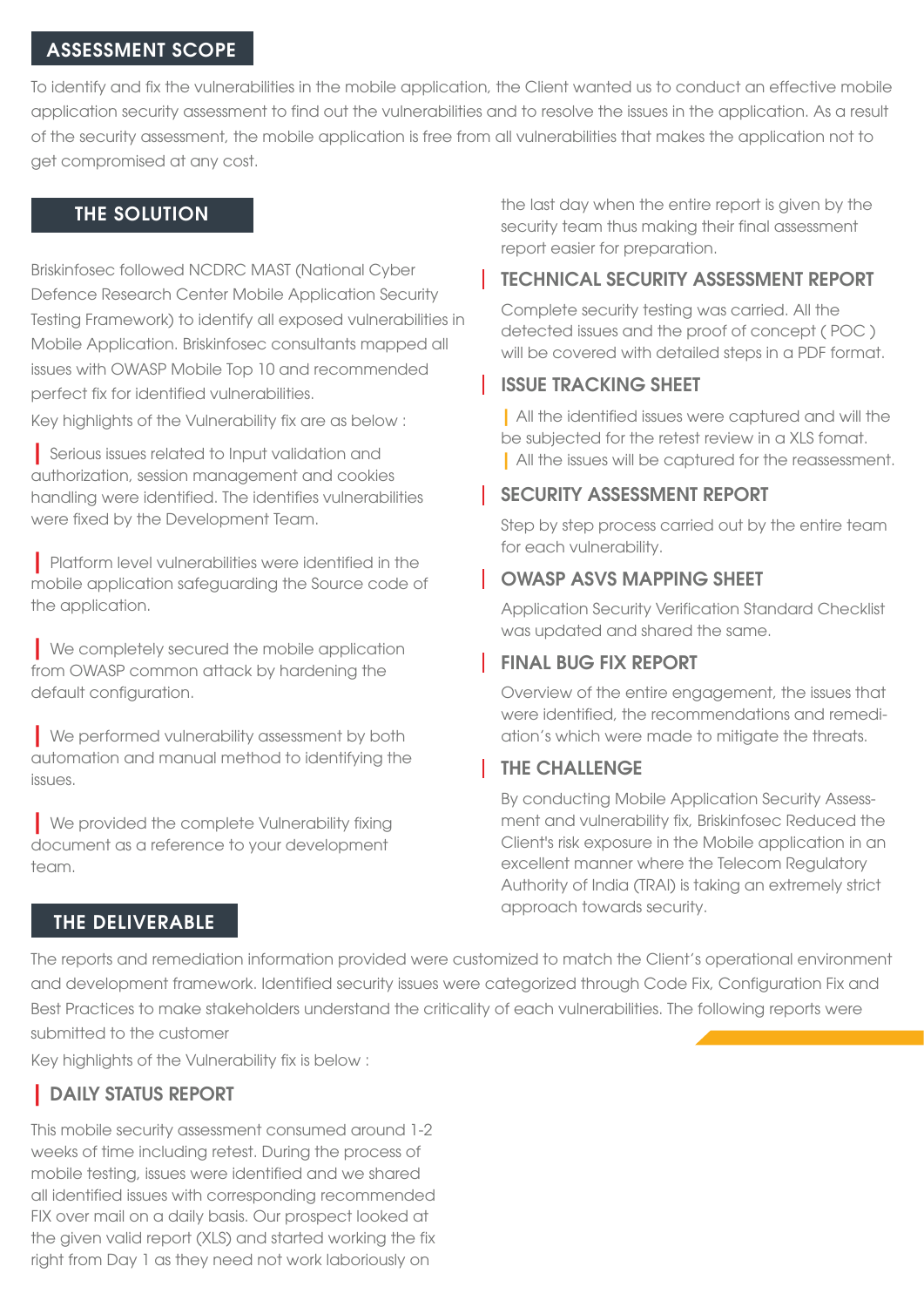#### ASSESSMENT SCOPE

To identify and fix the vulnerabilities in the mobile application, the Client wanted us to conduct an effective mobile application security assessment to find out the vulnerabilities and to resolve the issues in the application. As a result of the security assessment, the mobile application is free from all vulnerabilities that makes the application not to get compromised at any cost.

#### THE SOLUTION

Briskinfosec followed NCDRC MAST (National Cyber Defence Research Center Mobile Application Security Testing Framework) to identify all exposed vulnerabilities in Mobile Application. Briskinfosec consultants mapped all issues with OWASP Mobile Top 10 and recommended perfect fix for identified vulnerabilities.

Key highlights of the Vulnerability fix are as below :

| Serious issues related to Input validation and authorization, session management and cookies handling were identified. The identifies vulnerabilities were fixed by the Development Team.

| Platform level vulnerabilities were identified in the mobile application safeguarding the Source code of the application.

| We completely secured the mobile application from OWASP common attack by hardening the default configuration.

| We performed vulnerability assessment by both automation and manual method to identifying the issues.

| We provided the complete Vulnerability fixing document as a reference to your development team.

#### THE DELIVERABLE

the last day when the entire report is given by the security team thus making their final assessment report easier for preparation.

#### TECHNICAL SECURITY ASSESSMENT REPORT

Complete security testing was carried. All the detected issues and the proof of concept ( POC ) will be covered with detailed steps in a PDF format.

#### ISSUE TRACKING SHEET

| All the identified issues were captured and will the be subjected for the retest review in a XLS fomat. | All the issues will be captured for the reassessment.

#### SECURITY ASSESSMENT REPORT

Step by step process carried out by the entire team for each vulnerability.

#### OWASP ASVS MAPPING SHEET

Application Security Verification Standard Checklist was updated and shared the same.

#### FINAL BUG FIX REPORT

Overview of the entire engagement, the issues that were identified, the recommendations and remediation's which were made to mitigate the threats.

#### THE CHALLENGE

By conducting Mobile Application Security Assessment and vulnerability fix, Briskinfosec Reduced the Client's risk exposure in the Mobile application in an excellent manner where the Telecom Regulatory Authority of India (TRAI) is taking an extremely strict approach towards security.

The reports and remediation information provided were customized to match the Client's operational environment and development framework. Identified security issues were categorized through Code Fix, Configuration Fix and Best Practices to make stakeholders understand the criticality of each vulnerabilities. The following reports were submitted to the customer

Key highlights of the Vulnerability fix is below :

### | DAILY STATUS REPORT

This mobile security assessment consumed around 1-2 weeks of time including retest. During the process of mobile testing, issues were identified and we shared all identified issues with corresponding recommended FIX over mail on a daily basis. Our prospect looked at the given valid report (XLS) and started working the fix right from Day 1 as they need not work laboriously on